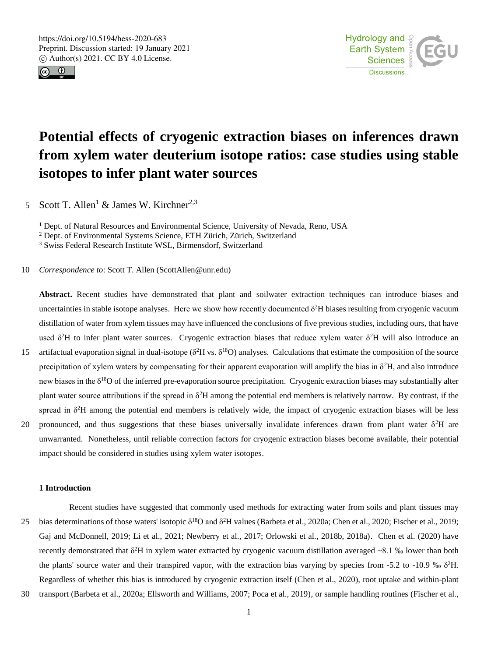



# **Potential effects of cryogenic extraction biases on inferences drawn from xylem water deuterium isotope ratios: case studies using stable isotopes to infer plant water sources**

5 Scott T. Allen<sup>1</sup> & James W. Kirchner<sup>2,3</sup>

<sup>1</sup> Dept. of Natural Resources and Environmental Science, University of Nevada, Reno, USA

<sup>2</sup> Dept. of Environmental Systems Science, ETH Zürich, Zürich, Switzerland

<sup>3</sup> Swiss Federal Research Institute WSL, Birmensdorf, Switzerland

10 *Correspondence to*: Scott T. Allen (ScottAllen@unr.edu)

**Abstract.** Recent studies have demonstrated that plant and soilwater extraction techniques can introduce biases and uncertainties in stable isotope analyses. Here we show how recently documented  $\delta^2$ H biases resulting from cryogenic vacuum distillation of water from xylem tissues may have influenced the conclusions of five previous studies, including ours, that have used  $\delta^2$ H to infer plant water sources. Cryogenic extraction biases that reduce xylem water  $\delta^2$ H will also introduce an

- 15 artifactual evaporation signal in dual-isotope ( $\delta^2 H$  vs.  $\delta^{18}O$ ) analyses. Calculations that estimate the composition of the source precipitation of xylem waters by compensating for their apparent evaporation will amplify the bias in  $\delta^2 H$ , and also introduce new biases in the  $\delta^{18}$ O of the inferred pre-evaporation source precipitation. Cryogenic extraction biases may substantially alter plant water source attributions if the spread in  $\delta^2$ H among the potential end members is relatively narrow. By contrast, if the spread in  $\delta^2$ H among the potential end members is relatively wide, the impact of cryogenic extraction biases will be less
- 20 pronounced, and thus suggestions that these biases universally invalidate inferences drawn from plant water  $\delta^2$ H are unwarranted. Nonetheless, until reliable correction factors for cryogenic extraction biases become available, their potential impact should be considered in studies using xylem water isotopes.

### **1 Introduction**

Recent studies have suggested that commonly used methods for extracting water from soils and plant tissues may 25 bias determinations of those waters' isotopic  $\delta^{18}O$  and  $\delta^2H$  values (Barbeta et al., 2020a; Chen et al., 2020; Fischer et al., 2019; Gaj and McDonnell, 2019; Li et al., 2021; Newberry et al., 2017; Orlowski et al., 2018b, 2018a). Chen et al. (2020) have recently demonstrated that  $\delta^2H$  in xylem water extracted by cryogenic vacuum distillation averaged  $\sim$ 8.1 ‰ lower than both the plants' source water and their transpired vapor, with the extraction bias varying by species from -5.2 to -10.9 ‰  $\delta^2$ H. Regardless of whether this bias is introduced by cryogenic extraction itself (Chen et al., 2020), root uptake and within-plant

30 transport (Barbeta et al., 2020a; Ellsworth and Williams, 2007; Poca et al., 2019), or sample handling routines (Fischer et al.,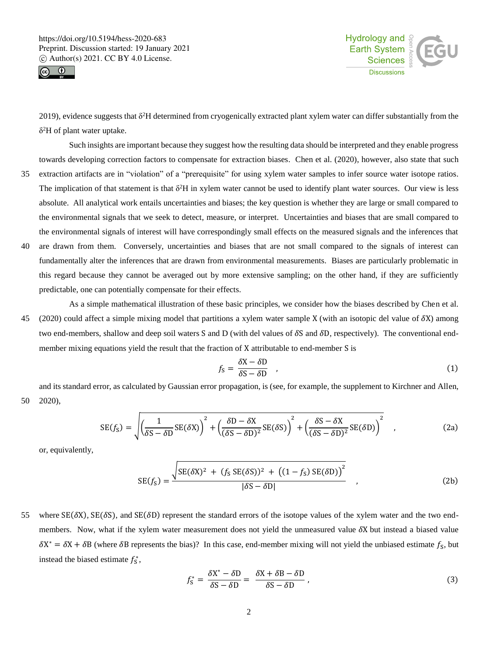



2019), evidence suggests that  $\delta^2H$  determined from cryogenically extracted plant xylem water can differ substantially from the δ <sup>2</sup>H of plant water uptake.

Such insights are important because they suggest how the resulting data should be interpreted and they enable progress towards developing correction factors to compensate for extraction biases. Chen et al. (2020), however, also state that such

- 35 extraction artifacts are in "violation" of a "prerequisite" for using xylem water samples to infer source water isotope ratios. The implication of that statement is that  $\delta^2H$  in xylem water cannot be used to identify plant water sources. Our view is less absolute. All analytical work entails uncertainties and biases; the key question is whether they are large or small compared to the environmental signals that we seek to detect, measure, or interpret. Uncertainties and biases that are small compared to the environmental signals of interest will have correspondingly small effects on the measured signals and the inferences that
- 40 are drawn from them. Conversely, uncertainties and biases that are not small compared to the signals of interest can fundamentally alter the inferences that are drawn from environmental measurements. Biases are particularly problematic in this regard because they cannot be averaged out by more extensive sampling; on the other hand, if they are sufficiently predictable, one can potentially compensate for their effects.
- As a simple mathematical illustration of these basic principles, we consider how the biases described by Chen et al. 45 (2020) could affect a simple mixing model that partitions a xylem water sample X (with an isotopic del value of X) among two end-members, shallow and deep soil waters S and D (with del values of  $\delta S$  and  $\delta D$ , respectively). The conventional endmember mixing equations yield the result that the fraction of X attributable to end-member S is

$$
f_{\rm S} = \frac{\delta \mathbf{X} - \delta \mathbf{D}}{\delta \mathbf{S} - \delta \mathbf{D}} \tag{1}
$$

and its standard error, as calculated by Gaussian error propagation, is (see, for example, the supplement to Kirchner and Allen, 50 2020),

$$
SE(f_S) = \sqrt{\left(\frac{1}{\delta S - \delta D}SE(\delta X)\right)^2 + \left(\frac{\delta D - \delta X}{(\delta S - \delta D)^2}SE(\delta S)\right)^2 + \left(\frac{\delta S - \delta X}{(\delta S - \delta D)^2}SE(\delta D)\right)^2} \quad ,
$$
 (2a)

or, equivalently,

$$
SE(f_S) = \frac{\sqrt{SE(\delta X)^2 + (f_S SE(\delta S))^2 + ((1 - f_S) SE(\delta D))^2}}{|\delta S - \delta D|},
$$
\n(2b)

55 where  $SE(\delta X)$ ,  $SE(\delta S)$ , and  $SE(\delta D)$  represent the standard errors of the isotope values of the xylem water and the two endmembers. Now, what if the xylem water measurement does not yield the unmeasured value  $\delta X$  but instead a biased value  $\delta X^* = \delta X + \delta B$  (where  $\delta B$  represents the bias)? In this case, end-member mixing will not yield the unbiased estimate  $f_S$ , but instead the biased estimate  $f_s^*$ ,

$$
f_{\rm S}^* = \frac{\delta X^* - \delta D}{\delta S - \delta D} = \frac{\delta X + \delta B - \delta D}{\delta S - \delta D},\tag{3}
$$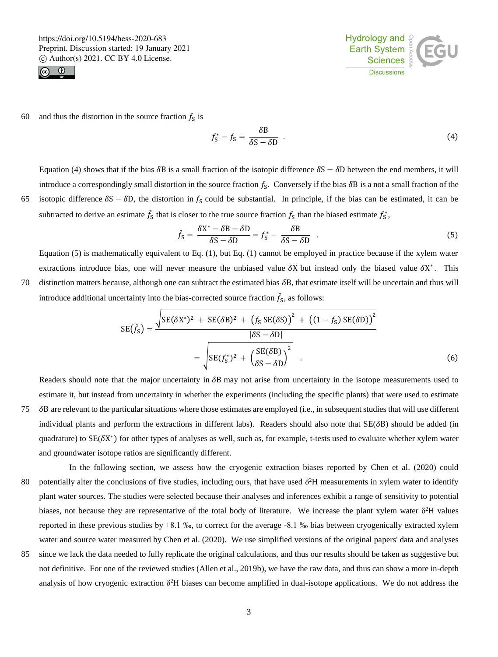



60 and thus the distortion in the source fraction  $f_s$  is

$$
f_{\rm S}^* - f_{\rm S} = \frac{\delta \mathbf{B}}{\delta \mathbf{S} - \delta \mathbf{D}} \tag{4}
$$

Equation (4) shows that if the bias  $\delta B$  is a small fraction of the isotopic difference  $\delta S - \delta D$  between the end members, it will introduce a correspondingly small distortion in the source fraction  $f_s$ . Conversely if the bias  $\delta B$  is a not a small fraction of the 65 isotopic difference  $\delta S - \delta D$ , the distortion in  $f_S$  could be substantial. In principle, if the bias can be estimated, it can be

subtracted to derive an estimate  $\hat{f}_s$  that is closer to the true source fraction  $f_s$  than the biased estimate  $f_s^*$ ,

$$
\hat{f}_{\rm S} = \frac{\delta \mathbf{X}^* - \delta \mathbf{B} - \delta \mathbf{D}}{\delta \mathbf{S} - \delta \mathbf{D}} = f_{\rm S}^* - \frac{\delta \mathbf{B}}{\delta \mathbf{S} - \delta \mathbf{D}} \tag{5}
$$

Equation (5) is mathematically equivalent to Eq. (1), but Eq. (1) cannot be employed in practice because if the xylem water extractions introduce bias, one will never measure the unbiased value  $\delta X$  but instead only the biased value  $\delta X^*$ . This 70 distinction matters because, although one can subtract the estimated bias B, that estimate itself will be uncertain and thus will introduce additional uncertainty into the bias-corrected source fraction  $\hat{f}_s$ , as follows:

$$
SE(\hat{f}_S) = \frac{\sqrt{SE(\delta X^*)^2 + SE(\delta B)^2 + (f_S SE(\delta S))^2 + ((1 - f_S) SE(\delta D))^2}}{|\delta S - \delta D|}
$$

$$
= \sqrt{SE(f_S^*)^2 + (\frac{SE(\delta B)}{\delta S - \delta D})^2} \tag{6}
$$

Readers should note that the major uncertainty in  $\delta B$  may not arise from uncertainty in the isotope measurements used to estimate it, but instead from uncertainty in whether the experiments (including the specific plants) that were used to estimate

- 75 B are relevant to the particular situations where those estimates are employed (i.e., in subsequent studies that will use different individual plants and perform the extractions in different labs). Readers should also note that  $SE(\delta B)$  should be added (in quadrature) to  $SE(\delta X^*)$  for other types of analyses as well, such as, for example, t-tests used to evaluate whether xylem water and groundwater isotope ratios are significantly different.
- In the following section, we assess how the cryogenic extraction biases reported by Chen et al. (2020) could 80 potentially alter the conclusions of five studies, including ours, that have used  $\delta^2H$  measurements in xylem water to identify plant water sources. The studies were selected because their analyses and inferences exhibit a range of sensitivity to potential biases, not because they are representative of the total body of literature. We increase the plant xylem water  $\delta^2H$  values reported in these previous studies by +8.1 ‰, to correct for the average -8.1 ‰ bias between cryogenically extracted xylem water and source water measured by Chen et al. (2020). We use simplified versions of the original papers' data and analyses
- 85 since we lack the data needed to fully replicate the original calculations, and thus our results should be taken as suggestive but not definitive. For one of the reviewed studies (Allen et al., 2019b), we have the raw data, and thus can show a more in-depth analysis of how cryogenic extraction  $\delta^2 H$  biases can become amplified in dual-isotope applications. We do not address the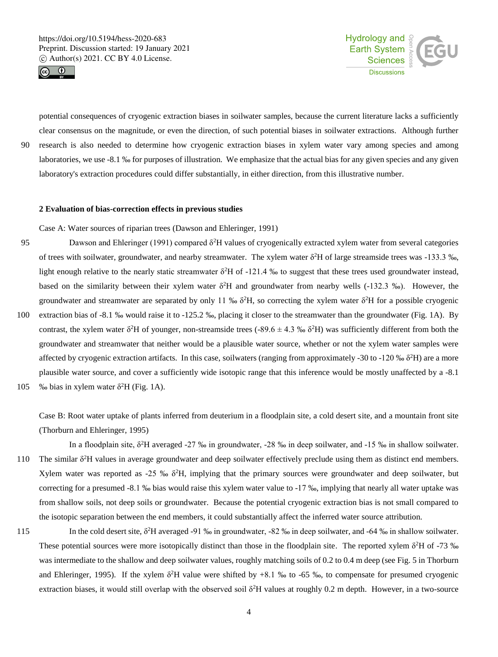



potential consequences of cryogenic extraction biases in soilwater samples, because the current literature lacks a sufficiently clear consensus on the magnitude, or even the direction, of such potential biases in soilwater extractions. Although further 90 research is also needed to determine how cryogenic extraction biases in xylem water vary among species and among laboratories, we use -8.1 ‰ for purposes of illustration. We emphasize that the actual bias for any given species and any given laboratory's extraction procedures could differ substantially, in either direction, from this illustrative number.

#### **2 Evaluation of bias-correction effects in previous studies**

Case A: Water sources of riparian trees (Dawson and Ehleringer, 1991)

- 95 Dawson and Ehleringer (1991) compared δ<sup>2</sup>H values of cryogenically extracted xylem water from several categories of trees with soilwater, groundwater, and nearby streamwater. The xylem water  $\delta^2$ H of large streamside trees was -133.3 ‰, light enough relative to the nearly static streamwater  $\delta^2$ H of -121.4 ‰ to suggest that these trees used groundwater instead, based on the similarity between their xylem water  $\delta^2H$  and groundwater from nearby wells (-132.3 ‰). However, the groundwater and streamwater are separated by only 11 ‰  $\delta^2$ H, so correcting the xylem water  $\delta^2$ H for a possible cryogenic 100 extraction bias of -8.1 ‰ would raise it to -125.2 ‰, placing it closer to the streamwater than the groundwater (Fig. 1A). By contrast, the xylem water  $\delta^2H$  of younger, non-streamside trees (-89.6  $\pm$  4.3 ‰  $\delta^2H$ ) was sufficiently different from both the groundwater and streamwater that neither would be a plausible water source, whether or not the xylem water samples were affected by cryogenic extraction artifacts. In this case, soilwaters (ranging from approximately -30 to -120 ‰  $\delta^2$ H) are a more plausible water source, and cover a sufficiently wide isotopic range that this inference would be mostly unaffected by a -8.1 105 % bias in xylem water  $\delta^2$ H (Fig. 1A).
- 

Case B: Root water uptake of plants inferred from deuterium in a floodplain site, a cold desert site, and a mountain front site (Thorburn and Ehleringer, 1995)

In a floodplain site, δ<sup>2</sup>H averaged -27 ‰ in groundwater, -28 ‰ in deep soilwater, and -15 ‰ in shallow soilwater. 110 The similar  $\delta^2$ H values in average groundwater and deep soilwater effectively preclude using them as distinct end members. Xylem water was reported as -25 ‰  $\delta^2$ H, implying that the primary sources were groundwater and deep soilwater, but correcting for a presumed -8.1 ‰ bias would raise this xylem water value to -17 ‰, implying that nearly all water uptake was from shallow soils, not deep soils or groundwater. Because the potential cryogenic extraction bias is not small compared to the isotopic separation between the end members, it could substantially affect the inferred water source attribution.

In the cold desert site,  $δ<sup>2</sup>H$  averaged -91 ‰ in groundwater, -82 ‰ in deep soilwater, and -64 ‰ in shallow soilwater. These potential sources were more isotopically distinct than those in the floodplain site. The reported xylem  $\delta^2$ H of -73 ‰ was intermediate to the shallow and deep soilwater values, roughly matching soils of 0.2 to 0.4 m deep (see Fig. 5 in Thorburn and Ehleringer, 1995). If the xylem  $\delta^2H$  value were shifted by +8.1 % to -65 %, to compensate for presumed cryogenic extraction biases, it would still overlap with the observed soil  $\delta^2H$  values at roughly 0.2 m depth. However, in a two-source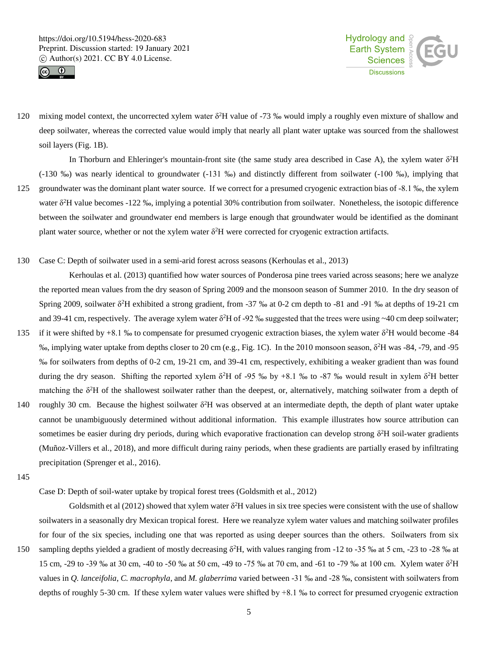



120 mixing model context, the uncorrected xylem water  $\delta^2$ H value of -73 ‰ would imply a roughly even mixture of shallow and deep soilwater, whereas the corrected value would imply that nearly all plant water uptake was sourced from the shallowest soil layers (Fig. 1B).

In Thorburn and Ehleringer's mountain-front site (the same study area described in Case A), the xylem water  $\delta^2H$ (-130 ‰) was nearly identical to groundwater (-131 ‰) and distinctly different from soilwater (-100 ‰), implying that

- 125 groundwater was the dominant plant water source. If we correct for a presumed cryogenic extraction bias of -8.1 ‰, the xylem water  $\delta^2$ H value becomes -122 ‰, implying a potential 30% contribution from soilwater. Nonetheless, the isotopic difference between the soilwater and groundwater end members is large enough that groundwater would be identified as the dominant plant water source, whether or not the xylem water  $\delta^2H$  were corrected for cryogenic extraction artifacts.
- 130 Case C: Depth of soilwater used in a semi-arid forest across seasons (Kerhoulas et al., 2013)

Kerhoulas et al. (2013) quantified how water sources of Ponderosa pine trees varied across seasons; here we analyze the reported mean values from the dry season of Spring 2009 and the monsoon season of Summer 2010. In the dry season of Spring 2009, soilwater  $\delta^2$ H exhibited a strong gradient, from -37 ‰ at 0-2 cm depth to -81 and -91 ‰ at depths of 19-21 cm and 39-41 cm, respectively. The average xylem water  $\delta^2H$  of -92 ‰ suggested that the trees were using ~40 cm deep soilwater;

- 135 if it were shifted by +8.1 ‰ to compensate for presumed cryogenic extraction biases, the xylem water  $\delta^2$ H would become -84 <sup>%</sup>, implying water uptake from depths closer to 20 cm (e.g., Fig. 1C). In the 2010 monsoon season, δ<sup>2</sup>H was -84, -79, and -95 ‰ for soilwaters from depths of 0-2 cm, 19-21 cm, and 39-41 cm, respectively, exhibiting a weaker gradient than was found during the dry season. Shifting the reported xylem  $\delta^2$ H of -95 ‰ by +8.1 ‰ to -87 ‰ would result in xylem  $\delta^2$ H better matching the  $\delta^2$ H of the shallowest soilwater rather than the deepest, or, alternatively, matching soilwater from a depth of
- 140 roughly 30 cm. Because the highest soilwater  $\delta^2$ H was observed at an intermediate depth, the depth of plant water uptake cannot be unambiguously determined without additional information. This example illustrates how source attribution can sometimes be easier during dry periods, during which evaporative fractionation can develop strong  $\delta^2H$  soil-water gradients (Muñoz-Villers et al., 2018), and more difficult during rainy periods, when these gradients are partially erased by infiltrating precipitation (Sprenger et al., 2016).
- 145

Case D: Depth of soil-water uptake by tropical forest trees (Goldsmith et al., 2012)

Goldsmith et al (2012) showed that xylem water  $\delta^2$ H values in six tree species were consistent with the use of shallow soilwaters in a seasonally dry Mexican tropical forest. Here we reanalyze xylem water values and matching soilwater profiles for four of the six species, including one that was reported as using deeper sources than the others. Soilwaters from six 150 sampling depths yielded a gradient of mostly decreasing  $\delta^2$ H, with values ranging from -12 to -35 ‰ at 5 cm, -23 to -28 ‰ at 15 cm, -29 to -39 ‰ at 30 cm, -40 to -50 ‰ at 50 cm, -49 to -75 ‰ at 70 cm, and -61 to -79 ‰ at 100 cm. Xylem water δ 2H values in *Q. lanceifolia*, *C. macrophyla*, and *M. glaberrima* varied between -31 ‰ and -28 ‰, consistent with soilwaters from depths of roughly 5-30 cm. If these xylem water values were shifted by +8.1 ‰ to correct for presumed cryogenic extraction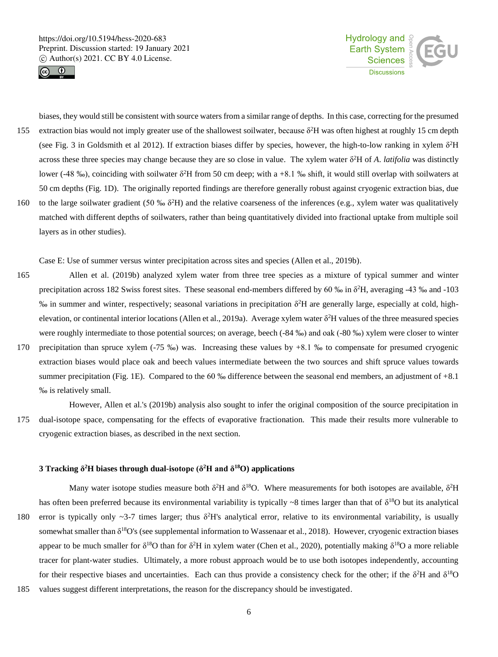



biases, they would still be consistent with source waters from a similar range of depths. In this case, correcting for the presumed 155 extraction bias would not imply greater use of the shallowest soilwater, because  $\delta^2 H$  was often highest at roughly 15 cm depth (see Fig. 3 in Goldsmith et al 2012). If extraction biases differ by species, however, the high-to-low ranking in xylem  $\delta^2H$ across these three species may change because they are so close in value. The xylem water δ <sup>2</sup>H of *A*. *latifolia* was distinctly lower (-48 ‰), coinciding with soilwater  $\delta^2H$  from 50 cm deep; with a +8.1 ‰ shift, it would still overlap with soilwaters at 50 cm depths (Fig. 1D). The originally reported findings are therefore generally robust against cryogenic extraction bias, due 160 to the large soilwater gradient (50 ‰  $\delta^2$ H) and the relative coarseness of the inferences (e.g., xylem water was qualitatively matched with different depths of soilwaters, rather than being quantitatively divided into fractional uptake from multiple soil layers as in other studies).

Case E: Use of summer versus winter precipitation across sites and species (Allen et al., 2019b).

165 Allen et al. (2019b) analyzed xylem water from three tree species as a mixture of typical summer and winter precipitation across 182 Swiss forest sites. These seasonal end-members differed by 60 ‰ in  $\delta^2$ H, averaging -43 ‰ and -103 ‰ in summer and winter, respectively; seasonal variations in precipitation δ 2H are generally large, especially at cold, highelevation, or continental interior locations (Allen et al., 2019a). Average xylem water  $\delta^2$ H values of the three measured species were roughly intermediate to those potential sources; on average, beech (-84 ‰) and oak (-80 ‰) xylem were closer to winter 170 precipitation than spruce xylem (-75 ‰) was. Increasing these values by +8.1 ‰ to compensate for presumed cryogenic extraction biases would place oak and beech values intermediate between the two sources and shift spruce values towards summer precipitation (Fig. 1E). Compared to the 60  $\%$  difference between the seasonal end members, an adjustment of  $+8.1$ ‰ is relatively small.

However, Allen et al.'s (2019b) analysis also sought to infer the original composition of the source precipitation in 175 dual-isotope space, compensating for the effects of evaporative fractionation. This made their results more vulnerable to cryogenic extraction biases, as described in the next section.

### **3 Tracking δ <sup>2</sup>H biases through dual-isotope (δ<sup>2</sup>H and δ<sup>18</sup>O) applications**

Many water isotope studies measure both  $\delta^2H$  and  $\delta^{18}O$ . Where measurements for both isotopes are available,  $\delta^2H$ has often been preferred because its environmental variability is typically  $\sim 8$  times larger than that of  $\delta^{18}O$  but its analytical

- 180 error is typically only ~3-7 times larger; thus  $\delta^2 H$ 's analytical error, relative to its environmental variability, is usually somewhat smaller than  $\delta^{18}O$ 's (see supplemental information to Wassenaar et al., 2018). However, cryogenic extraction biases appear to be much smaller for  $\delta^{18}O$  than for  $\delta^2H$  in xylem water (Chen et al., 2020), potentially making  $\delta^{18}O$  a more reliable tracer for plant-water studies. Ultimately, a more robust approach would be to use both isotopes independently, accounting for their respective biases and uncertainties. Each can thus provide a consistency check for the other; if the  $\delta^2$ H and  $\delta^{18}$ O
- 185 values suggest different interpretations, the reason for the discrepancy should be investigated.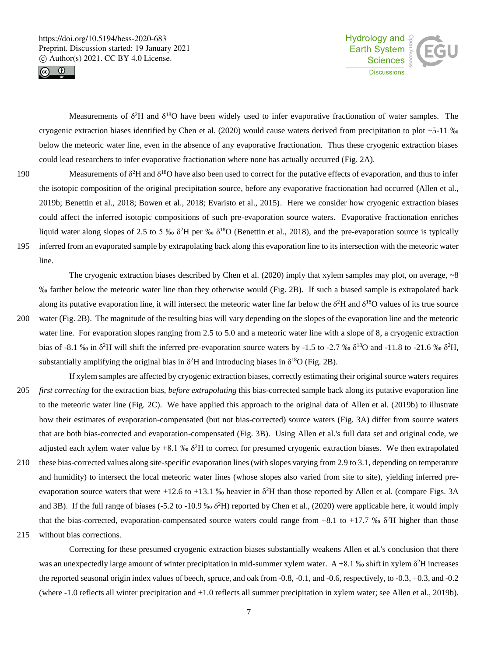



Measurements of  $\delta^2$ H and  $\delta^{18}$ O have been widely used to infer evaporative fractionation of water samples. The cryogenic extraction biases identified by Chen et al. (2020) would cause waters derived from precipitation to plot  $\sim$  5-11 ‰ below the meteoric water line, even in the absence of any evaporative fractionation. Thus these cryogenic extraction biases could lead researchers to infer evaporative fractionation where none has actually occurred (Fig. 2A).

- 190 Measurements of  $\delta^2$ H and  $\delta^{18}$ O have also been used to correct for the putative effects of evaporation, and thus to infer the isotopic composition of the original precipitation source, before any evaporative fractionation had occurred (Allen et al., 2019b; Benettin et al., 2018; Bowen et al., 2018; Evaristo et al., 2015). Here we consider how cryogenic extraction biases could affect the inferred isotopic compositions of such pre-evaporation source waters. Evaporative fractionation enriches liquid water along slopes of 2.5 to 5 ‰  $\delta^2H$  per ‰  $\delta^{18}O$  (Benettin et al., 2018), and the pre-evaporation source is typically 195 inferred from an evaporated sample by extrapolating back along this evaporation line to its intersection with the meteoric water
	- line. The cryogenic extraction biases described by Chen et al. (2020) imply that xylem samples may plot, on average,  $\sim 8$
- ‰ farther below the meteoric water line than they otherwise would (Fig. 2B). If such a biased sample is extrapolated back along its putative evaporation line, it will intersect the meteoric water line far below the  $\delta^2$ H and  $\delta^{18}$ O values of its true source 200 water (Fig. 2B). The magnitude of the resulting bias will vary depending on the slopes of the evaporation line and the meteoric water line. For evaporation slopes ranging from 2.5 to 5.0 and a meteoric water line with a slope of 8, a cryogenic extraction bias of -8.1 ‰ in  $\delta^2$ H will shift the inferred pre-evaporation source waters by -1.5 to -2.7 ‰  $\delta^{18}$ O and -11.8 to -21.6 ‰  $\delta^2$ H, substantially amplifying the original bias in  $\delta^2$ H and introducing biases in  $\delta^{18}$ O (Fig. 2B).
- If xylem samples are affected by cryogenic extraction biases, correctly estimating their original source waters requires 205 *first correcting* for the extraction bias, *before extrapolating* this bias-corrected sample back along its putative evaporation line to the meteoric water line (Fig. 2C). We have applied this approach to the original data of Allen et al. (2019b) to illustrate how their estimates of evaporation-compensated (but not bias-corrected) source waters (Fig. 3A) differ from source waters that are both bias-corrected and evaporation-compensated (Fig. 3B). Using Allen et al.'s full data set and original code, we adjusted each xylem water value by  $+8.1\%$   $\delta^2$ H to correct for presumed cryogenic extraction biases. We then extrapolated
- 210 these bias-corrected values along site-specific evaporation lines (with slopes varying from 2.9 to 3.1, depending on temperature and humidity) to intersect the local meteoric water lines (whose slopes also varied from site to site), yielding inferred preevaporation source waters that were  $+12.6$  to  $+13.1$  % heavier in  $\delta^2$ H than those reported by Allen et al. (compare Figs. 3A and 3B). If the full range of biases (-5.2 to -10.9 ‰  $\delta^2$ H) reported by Chen et al., (2020) were applicable here, it would imply that the bias-corrected, evaporation-compensated source waters could range from +8.1 to +17.7 ‰  $\delta^2$ H higher than those
- 215 without bias corrections.

Correcting for these presumed cryogenic extraction biases substantially weakens Allen et al.'s conclusion that there was an unexpectedly large amount of winter precipitation in mid-summer xylem water.  $A + 8.1$  ‰ shift in xylem  $\delta^2 H$  increases the reported seasonal origin index values of beech, spruce, and oak from -0.8, -0.1, and -0.6, respectively, to -0.3, +0.3, and -0.2 (where -1.0 reflects all winter precipitation and +1.0 reflects all summer precipitation in xylem water; see Allen et al., 2019b).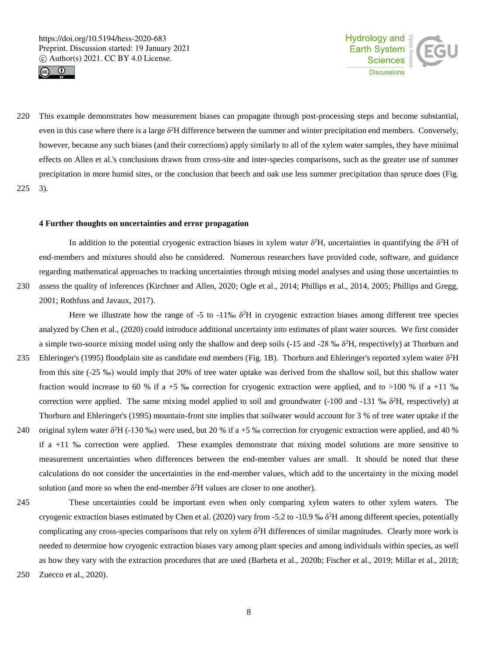



220 This example demonstrates how measurement biases can propagate through post-processing steps and become substantial, even in this case where there is a large  $\delta^2 H$  difference between the summer and winter precipitation end members. Conversely, however, because any such biases (and their corrections) apply similarly to all of the xylem water samples, they have minimal effects on Allen et al.'s conclusions drawn from cross-site and inter-species comparisons, such as the greater use of summer precipitation in more humid sites, or the conclusion that beech and oak use less summer precipitation than spruce does (Fig. 225 3).

#### **4 Further thoughts on uncertainties and error propagation**

In addition to the potential cryogenic extraction biases in xylem water  $\delta^2$ H, uncertainties in quantifying the  $\delta^2$ H of end-members and mixtures should also be considered. Numerous researchers have provided code, software, and guidance regarding mathematical approaches to tracking uncertainties through mixing model analyses and using those uncertainties to 230 assess the quality of inferences (Kirchner and Allen, 2020; Ogle et al., 2014; Phillips et al., 2014, 2005; Phillips and Gregg,

2001; Rothfuss and Javaux, 2017).

Here we illustrate how the range of  $-5$  to  $-11\%$   $\delta^2H$  in cryogenic extraction biases among different tree species analyzed by Chen et al., (2020) could introduce additional uncertainty into estimates of plant water sources. We first consider a simple two-source mixing model using only the shallow and deep soils  $(-15 \text{ and } -28 \text{ % } 8^2\text{H})$ , respectively) at Thorburn and

- 235 Ehleringer's (1995) floodplain site as candidate end members (Fig. 1B). Thorburn and Ehleringer's reported xylem water  $\delta^2H$ from this site (-25 ‰) would imply that 20% of tree water uptake was derived from the shallow soil, but this shallow water fraction would increase to 60 % if a +5 ‰ correction for cryogenic extraction were applied, and to >100 % if a +11 ‰ correction were applied. The same mixing model applied to soil and groundwater  $(-100 \text{ and } -131 \text{ % } 8^2\text{H},$  respectively) at Thorburn and Ehleringer's (1995) mountain-front site implies that soilwater would account for 3 % of tree water uptake if the
- 240 original xylem water  $\delta^2$ H (-130 %) were used, but 20 % if a +5 % correction for cryogenic extraction were applied, and 40 % if a +11 ‰ correction were applied. These examples demonstrate that mixing model solutions are more sensitive to measurement uncertainties when differences between the end-member values are small. It should be noted that these calculations do not consider the uncertainties in the end-member values, which add to the uncertainty in the mixing model solution (and more so when the end-member  $\delta^2$ H values are closer to one another).
- 245 These uncertainties could be important even when only comparing xylem waters to other xylem waters. The cryogenic extraction biases estimated by Chen et al. (2020) vary from -5.2 to -10.9 ‰  $\delta^2$ H among different species, potentially complicating any cross-species comparisons that rely on xylem  $\delta^2 H$  differences of similar magnitudes. Clearly more work is needed to determine how cryogenic extraction biases vary among plant species and among individuals within species, as well as how they vary with the extraction procedures that are used (Barbeta et al., 2020b; Fischer et al., 2019; Millar et al., 2018;
- 250 Zuecco et al., 2020).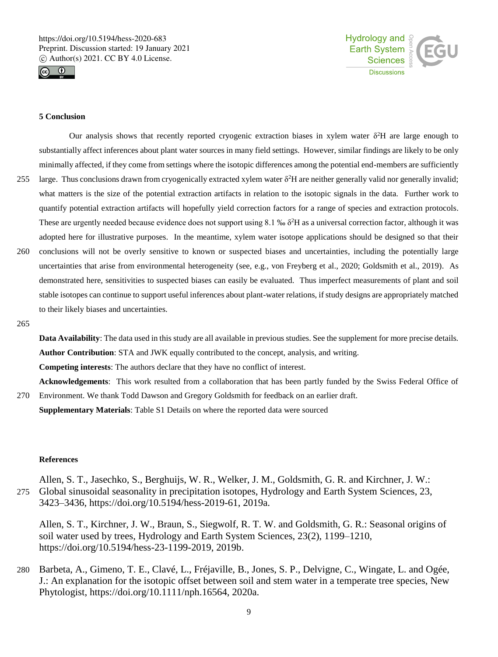



## **5 Conclusion**

Our analysis shows that recently reported cryogenic extraction biases in xylem water  $\delta^2H$  are large enough to substantially affect inferences about plant water sources in many field settings. However, similar findings are likely to be only minimally affected, if they come from settings where the isotopic differences among the potential end-members are sufficiently 255 large. Thus conclusions drawn from cryogenically extracted xylem water  $\delta^2$ H are neither generally valid nor generally invalid; what matters is the size of the potential extraction artifacts in relation to the isotopic signals in the data. Further work to

- quantify potential extraction artifacts will hopefully yield correction factors for a range of species and extraction protocols. These are urgently needed because evidence does not support using  $8.1\%$   $\delta^2H$  as a universal correction factor, although it was adopted here for illustrative purposes. In the meantime, xylem water isotope applications should be designed so that their
- 260 conclusions will not be overly sensitive to known or suspected biases and uncertainties, including the potentially large uncertainties that arise from environmental heterogeneity (see, e.g., von Freyberg et al., 2020; Goldsmith et al., 2019). As demonstrated here, sensitivities to suspected biases can easily be evaluated. Thus imperfect measurements of plant and soil stable isotopes can continue to support useful inferences about plant-water relations, if study designs are appropriately matched to their likely biases and uncertainties.
- 265

**Data Availability**: The data used in this study are all available in previous studies. See the supplement for more precise details. **Author Contribution**: STA and JWK equally contributed to the concept, analysis, and writing.

**Competing interests**: The authors declare that they have no conflict of interest.

**Acknowledgements**: This work resulted from a collaboration that has been partly funded by the Swiss Federal Office of 270 Environment. We thank Todd Dawson and Gregory Goldsmith for feedback on an earlier draft.

**Supplementary Materials**: Table S1 Details on where the reported data were sourced

# **References**

Allen, S. T., Jasechko, S., Berghuijs, W. R., Welker, J. M., Goldsmith, G. R. and Kirchner, J. W.: 275 Global sinusoidal seasonality in precipitation isotopes, Hydrology and Earth System Sciences, 23, 3423–3436, https://doi.org/10.5194/hess-2019-61, 2019a.

Allen, S. T., Kirchner, J. W., Braun, S., Siegwolf, R. T. W. and Goldsmith, G. R.: Seasonal origins of soil water used by trees, Hydrology and Earth System Sciences, 23(2), 1199–1210, https://doi.org/10.5194/hess-23-1199-2019, 2019b.

280 Barbeta, A., Gimeno, T. E., Clavé, L., Fréjaville, B., Jones, S. P., Delvigne, C., Wingate, L. and Ogée, J.: An explanation for the isotopic offset between soil and stem water in a temperate tree species, New Phytologist, https://doi.org/10.1111/nph.16564, 2020a.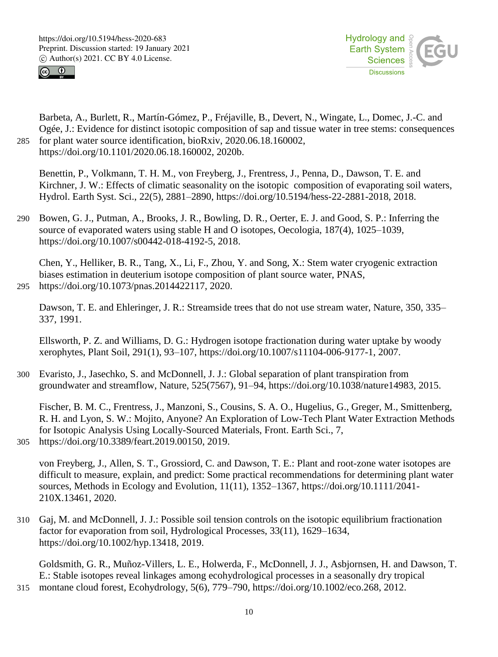



Barbeta, A., Burlett, R., Martín-Gómez, P., Fréjaville, B., Devert, N., Wingate, L., Domec, J.-C. and Ogée, J.: Evidence for distinct isotopic composition of sap and tissue water in tree stems: consequences 285 for plant water source identification, bioRxiv, 2020.06.18.160002, https://doi.org/10.1101/2020.06.18.160002, 2020b.

Benettin, P., Volkmann, T. H. M., von Freyberg, J., Frentress, J., Penna, D., Dawson, T. E. and Kirchner, J. W.: Effects of climatic seasonality on the isotopic composition of evaporating soil waters, Hydrol. Earth Syst. Sci., 22(5), 2881–2890, https://doi.org/10.5194/hess-22-2881-2018, 2018.

290 Bowen, G. J., Putman, A., Brooks, J. R., Bowling, D. R., Oerter, E. J. and Good, S. P.: Inferring the source of evaporated waters using stable H and O isotopes, Oecologia, 187(4), 1025–1039, https://doi.org/10.1007/s00442-018-4192-5, 2018.

Chen, Y., Helliker, B. R., Tang, X., Li, F., Zhou, Y. and Song, X.: Stem water cryogenic extraction biases estimation in deuterium isotope composition of plant source water, PNAS, 295 https://doi.org/10.1073/pnas.2014422117, 2020.

Dawson, T. E. and Ehleringer, J. R.: Streamside trees that do not use stream water, Nature, 350, 335– 337, 1991.

Ellsworth, P. Z. and Williams, D. G.: Hydrogen isotope fractionation during water uptake by woody xerophytes, Plant Soil, 291(1), 93–107, https://doi.org/10.1007/s11104-006-9177-1, 2007.

300 Evaristo, J., Jasechko, S. and McDonnell, J. J.: Global separation of plant transpiration from groundwater and streamflow, Nature, 525(7567), 91–94, https://doi.org/10.1038/nature14983, 2015.

Fischer, B. M. C., Frentress, J., Manzoni, S., Cousins, S. A. O., Hugelius, G., Greger, M., Smittenberg, R. H. and Lyon, S. W.: Mojito, Anyone? An Exploration of Low-Tech Plant Water Extraction Methods for Isotopic Analysis Using Locally-Sourced Materials, Front. Earth Sci., 7,

305 https://doi.org/10.3389/feart.2019.00150, 2019.

von Freyberg, J., Allen, S. T., Grossiord, C. and Dawson, T. E.: Plant and root-zone water isotopes are difficult to measure, explain, and predict: Some practical recommendations for determining plant water sources, Methods in Ecology and Evolution, 11(11), 1352–1367, https://doi.org/10.1111/2041- 210X.13461, 2020.

310 Gaj, M. and McDonnell, J. J.: Possible soil tension controls on the isotopic equilibrium fractionation factor for evaporation from soil, Hydrological Processes, 33(11), 1629–1634, https://doi.org/10.1002/hyp.13418, 2019.

Goldsmith, G. R., Muñoz-Villers, L. E., Holwerda, F., McDonnell, J. J., Asbjornsen, H. and Dawson, T. E.: Stable isotopes reveal linkages among ecohydrological processes in a seasonally dry tropical 315 montane cloud forest, Ecohydrology, 5(6), 779–790, https://doi.org/10.1002/eco.268, 2012.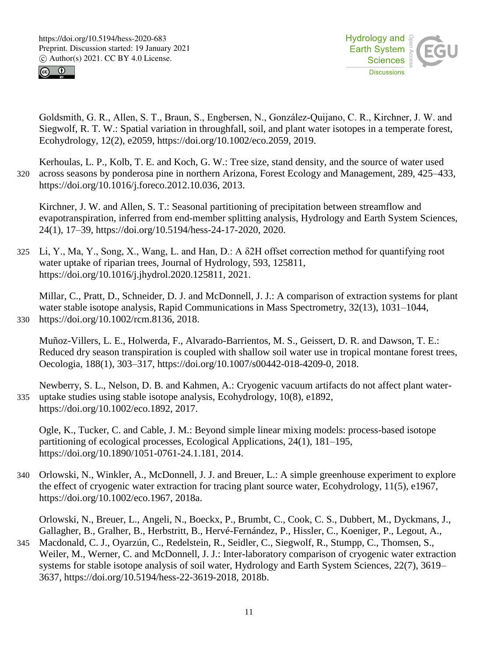



Goldsmith, G. R., Allen, S. T., Braun, S., Engbersen, N., González‐Quijano, C. R., Kirchner, J. W. and Siegwolf, R. T. W.: Spatial variation in throughfall, soil, and plant water isotopes in a temperate forest, Ecohydrology, 12(2), e2059, https://doi.org/10.1002/eco.2059, 2019.

Kerhoulas, L. P., Kolb, T. E. and Koch, G. W.: Tree size, stand density, and the source of water used 320 across seasons by ponderosa pine in northern Arizona, Forest Ecology and Management, 289, 425–433, https://doi.org/10.1016/j.foreco.2012.10.036, 2013.

Kirchner, J. W. and Allen, S. T.: Seasonal partitioning of precipitation between streamflow and evapotranspiration, inferred from end-member splitting analysis, Hydrology and Earth System Sciences, 24(1), 17–39, https://doi.org/10.5194/hess-24-17-2020, 2020.

325 Li, Y., Ma, Y., Song, X., Wang, L. and Han, D.: A δ2H offset correction method for quantifying root water uptake of riparian trees, Journal of Hydrology, 593, 125811, https://doi.org/10.1016/j.jhydrol.2020.125811, 2021.

Millar, C., Pratt, D., Schneider, D. J. and McDonnell, J. J.: A comparison of extraction systems for plant water stable isotope analysis, Rapid Communications in Mass Spectrometry, 32(13), 1031–1044, 330 https://doi.org/10.1002/rcm.8136, 2018.

Muñoz-Villers, L. E., Holwerda, F., Alvarado-Barrientos, M. S., Geissert, D. R. and Dawson, T. E.: Reduced dry season transpiration is coupled with shallow soil water use in tropical montane forest trees, Oecologia, 188(1), 303–317, https://doi.org/10.1007/s00442-018-4209-0, 2018.

Newberry, S. L., Nelson, D. B. and Kahmen, A.: Cryogenic vacuum artifacts do not affect plant water-335 uptake studies using stable isotope analysis, Ecohydrology, 10(8), e1892, https://doi.org/10.1002/eco.1892, 2017.

Ogle, K., Tucker, C. and Cable, J. M.: Beyond simple linear mixing models: process-based isotope partitioning of ecological processes, Ecological Applications, 24(1), 181–195, https://doi.org/10.1890/1051-0761-24.1.181, 2014.

340 Orlowski, N., Winkler, A., McDonnell, J. J. and Breuer, L.: A simple greenhouse experiment to explore the effect of cryogenic water extraction for tracing plant source water, Ecohydrology, 11(5), e1967, https://doi.org/10.1002/eco.1967, 2018a.

Orlowski, N., Breuer, L., Angeli, N., Boeckx, P., Brumbt, C., Cook, C. S., Dubbert, M., Dyckmans, J., Gallagher, B., Gralher, B., Herbstritt, B., Hervé-Fernández, P., Hissler, C., Koeniger, P., Legout, A.,

345 Macdonald, C. J., Oyarzún, C., Redelstein, R., Seidler, C., Siegwolf, R., Stumpp, C., Thomsen, S., Weiler, M., Werner, C. and McDonnell, J. J.: Inter-laboratory comparison of cryogenic water extraction systems for stable isotope analysis of soil water, Hydrology and Earth System Sciences, 22(7), 3619– 3637, https://doi.org/10.5194/hess-22-3619-2018, 2018b.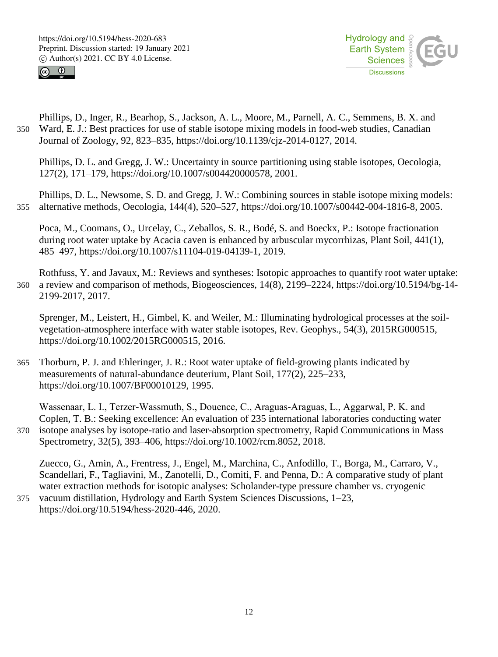



Phillips, D., Inger, R., Bearhop, S., Jackson, A. L., Moore, M., Parnell, A. C., Semmens, B. X. and 350 Ward, E. J.: Best practices for use of stable isotope mixing models in food-web studies, Canadian Journal of Zoology, 92, 823–835, https://doi.org/10.1139/cjz-2014-0127, 2014.

Phillips, D. L. and Gregg, J. W.: Uncertainty in source partitioning using stable isotopes, Oecologia, 127(2), 171–179, https://doi.org/10.1007/s004420000578, 2001.

Phillips, D. L., Newsome, S. D. and Gregg, J. W.: Combining sources in stable isotope mixing models: 355 alternative methods, Oecologia, 144(4), 520–527, https://doi.org/10.1007/s00442-004-1816-8, 2005.

Poca, M., Coomans, O., Urcelay, C., Zeballos, S. R., Bodé, S. and Boeckx, P.: Isotope fractionation during root water uptake by Acacia caven is enhanced by arbuscular mycorrhizas, Plant Soil, 441(1), 485–497, https://doi.org/10.1007/s11104-019-04139-1, 2019.

Rothfuss, Y. and Javaux, M.: Reviews and syntheses: Isotopic approaches to quantify root water uptake: 360 a review and comparison of methods, Biogeosciences, 14(8), 2199–2224, https://doi.org/10.5194/bg-14- 2199-2017, 2017.

Sprenger, M., Leistert, H., Gimbel, K. and Weiler, M.: Illuminating hydrological processes at the soilvegetation-atmosphere interface with water stable isotopes, Rev. Geophys., 54(3), 2015RG000515, https://doi.org/10.1002/2015RG000515, 2016.

365 Thorburn, P. J. and Ehleringer, J. R.: Root water uptake of field-growing plants indicated by measurements of natural-abundance deuterium, Plant Soil, 177(2), 225–233, https://doi.org/10.1007/BF00010129, 1995.

Wassenaar, L. I., Terzer-Wassmuth, S., Douence, C., Araguas-Araguas, L., Aggarwal, P. K. and Coplen, T. B.: Seeking excellence: An evaluation of 235 international laboratories conducting water 370 isotope analyses by isotope-ratio and laser-absorption spectrometry, Rapid Communications in Mass Spectrometry, 32(5), 393–406, https://doi.org/10.1002/rcm.8052, 2018.

Zuecco, G., Amin, A., Frentress, J., Engel, M., Marchina, C., Anfodillo, T., Borga, M., Carraro, V., Scandellari, F., Tagliavini, M., Zanotelli, D., Comiti, F. and Penna, D.: A comparative study of plant water extraction methods for isotopic analyses: Scholander-type pressure chamber vs. cryogenic

375 vacuum distillation, Hydrology and Earth System Sciences Discussions, 1–23, https://doi.org/10.5194/hess-2020-446, 2020.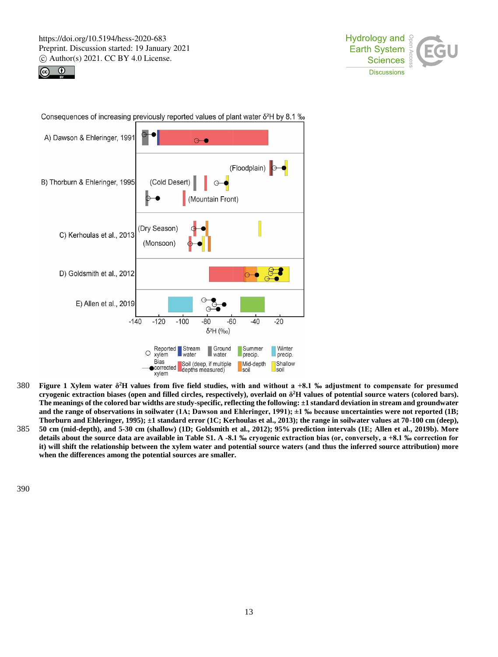





Consequences of increasing previously reported values of plant water  $\delta^2 H$  by 8.1 ‰

- **Figure 1 Xylem water δ** 380 **<sup>2</sup>H values from five field studies, with and without a +8.1 ‰ adjustment to compensate for presumed cryogenic extraction biases (open and filled circles, respectively), overlaid on δ <sup>2</sup>H values of potential source waters (colored bars). The meanings of the colored bar widths are study-specific, reflecting the following: ±1 standard deviation in stream and groundwater and the range of observations in soilwater (1A; Dawson and Ehleringer, 1991); ±1 ‰ because uncertainties were not reported (1B; Thorburn and Ehleringer, 1995); ±1 standard error (1C; Kerhoulas et al., 2013); the range in soilwater values at 70-100 cm (deep),**
- 385 **50 cm (mid-depth), and 5-30 cm (shallow) (1D; Goldsmith et al., 2012); 95% prediction intervals (1E; Allen et al., 2019b). More details about the source data are available in Table S1. A -8.1 ‰ cryogenic extraction bias (or, conversely, a +8.1 ‰ correction for it) will shift the relationship between the xylem water and potential source waters (and thus the inferred source attribution) more when the differences among the potential sources are smaller.**

390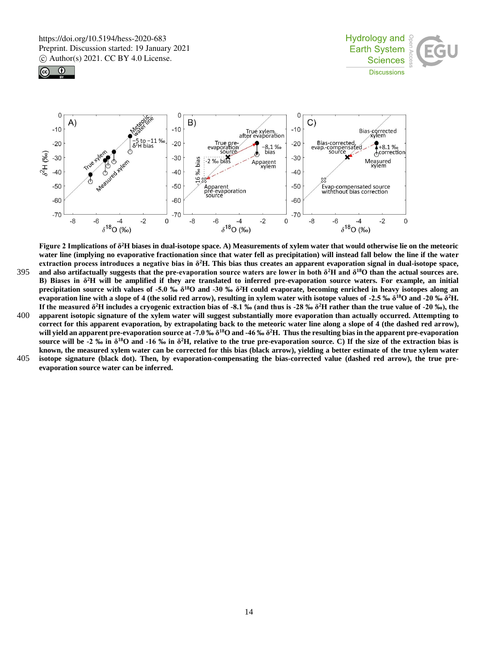





**Figure 2 Implications of δ<sup>2</sup>H biases in dual-isotope space. A) Measurements of xylem water that would otherwise lie on the meteoric water line (implying no evaporative fractionation since that water fell as precipitation) will instead fall below the line if the water extraction process introduces a negative bias in δ<sup>2</sup>H. This bias thus creates an apparent evaporation signal in dual-isotope space,** 

- **and also artifactually suggests that the pre-evaporation source waters are lower in both**  $\delta^2$ **<b>H** and  $\delta^{18}$ O than the actual sources are. **B) Biases in δ<sup>2</sup>H will be amplified if they are translated to inferred pre-evaporation source waters. For example, an initial precipitation source with values of -5.0 ‰ δ<sup>18</sup>O and -30 ‰ δ<sup>2</sup>H could evaporate, becoming enriched in heavy isotopes along an evaporation line with a slope of 4 (the solid red arrow), resulting in xylem water with isotope values of -2.5 ‰ δ<sup>18</sup>O and -20 ‰ δ<sup>2</sup>H. If the measured δ<sup>2</sup>H includes a cryogenic extraction bias of -8.1 ‰ (and thus is -28 ‰ δ <sup>2</sup>H rather than the true value of -20 ‰), the**
- 400 **apparent isotopic signature of the xylem water will suggest substantially more evaporation than actually occurred. Attempting to correct for this apparent evaporation, by extrapolating back to the meteoric water line along a slope of 4 (the dashed red arrow), will yield an apparent pre-evaporation source at -7.0 ‰ δ<sup>18</sup>O and -46 ‰ δ<sup>2</sup>H. Thus the resulting bias in the apparent pre-evaporation source will be -2 ‰ in δ<sup>18</sup>O and -16 ‰ in δ<sup>2</sup>H, relative to the true pre-evaporation source. C) If the size of the extraction bias is known, the measured xylem water can be corrected for this bias (black arrow), yielding a better estimate of the true xylem water**
- 405 **isotope signature (black dot). Then, by evaporation-compensating the bias-corrected value (dashed red arrow), the true preevaporation source water can be inferred.**